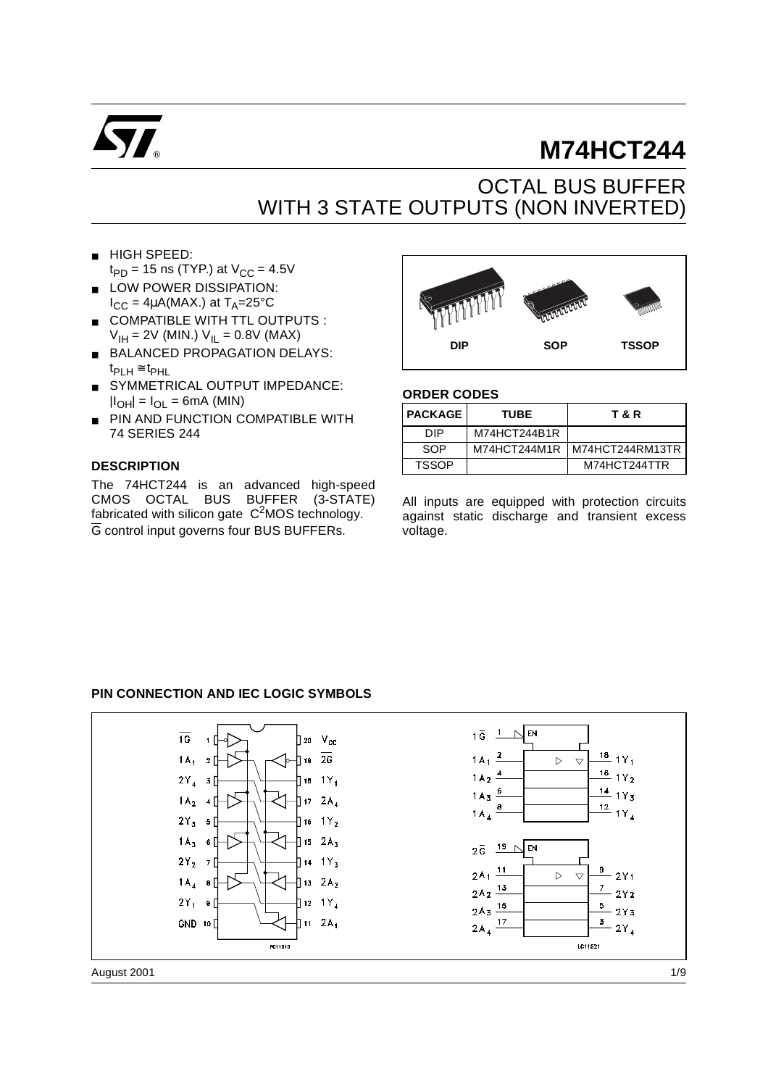

# **M74HCT244**

## OCTAL BUS BUFFER WITH 3 STATE OUTPUTS (NON INVERTED)

- HIGH SPEED:  $t_{PD}$  = 15 ns (TYP.) at  $V_{CC}$  = 4.5V
- LOW POWER DISSIPATION:  $I_{CC} = 4\mu A(MAX.)$  at  $T_A = 25^{\circ}C$
- COMPATIBLE WITH TTL OUTPUTS :  $V_{\text{IH}} = 2V$  (MIN.)  $V_{\text{II}} = 0.8V$  (MAX)
- BALANCED PROPAGATION DELAYS:  $t_{PIH} \cong t_{PHL}$
- SYMMETRICAL OUTPUT IMPEDANCE:  $|I_{OH}| = I_{OL} = 6mA$  (MIN)
- PIN AND FUNCTION COMPATIBLE WITH 74 SERIES 244

#### **DESCRIPTION**

The 74HCT244 is an advanced high-speed CMOS OCTAL BUS BUFFER (3-STATE) fabricated with silicon gate  $C<sup>2</sup>MOS$  technology. G control input governs four BUS BUFFERs.



#### **ORDER CODES**

| <b>PACKAGE</b> | <b>TUBE</b>  | <b>T &amp; R</b> |
|----------------|--------------|------------------|
| DIP.           | M74HCT244B1R |                  |
| SOP            | M74HCT244M1R | M74HCT244RM13TR  |
| TSSOP          |              | M74HCT244TTR     |

All inputs are equipped with protection circuits against static discharge and transient excess voltage.

#### **PIN CONNECTION AND IEC LOGIC SYMBOLS**

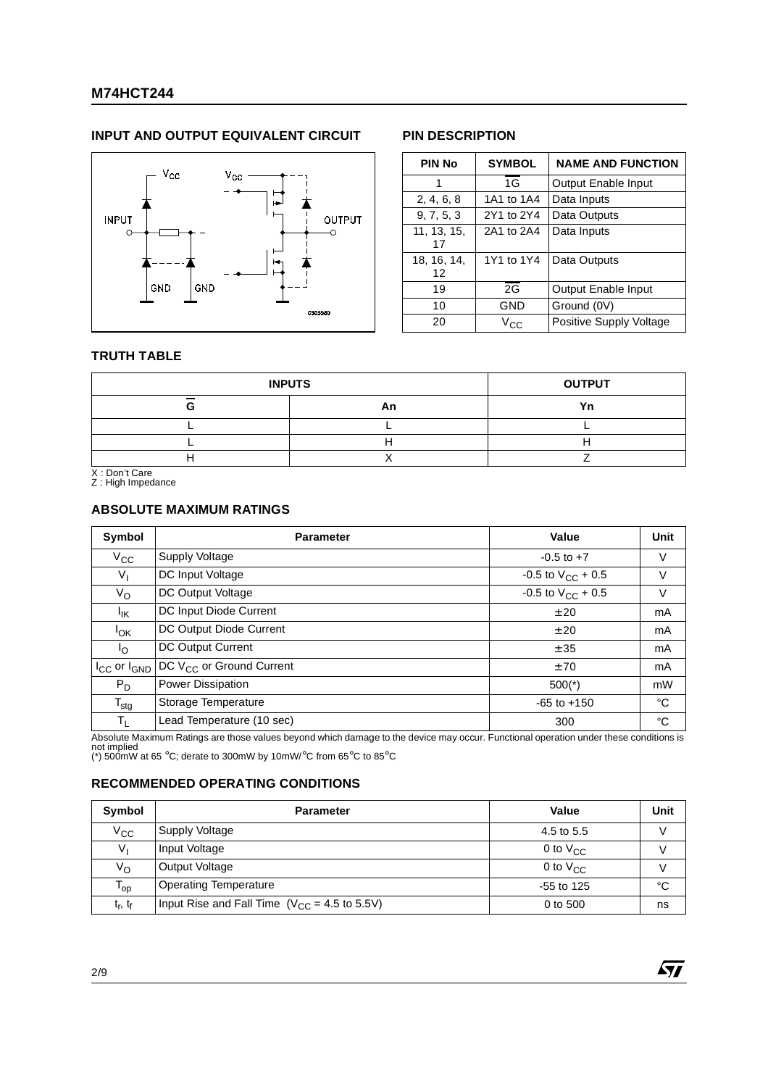#### **INPUT AND OUTPUT EQUIVALENT CIRCUIT PIN DESCRIPTION**



| <b>PIN No</b>     | <b>SYMBOL</b> | <b>NAME AND FUNCTION</b> |
|-------------------|---------------|--------------------------|
| 1                 | 1G            | Output Enable Input      |
| 2, 4, 6, 8        | 1A1 to 1A4    | Data Inputs              |
| 9, 7, 5, 3        | 2Y1 to 2Y4    | Data Outputs             |
| 11, 13, 15,<br>17 | 2A1 to 2A4    | Data Inputs              |
| 18, 16, 14,<br>12 | 1Y1 to 1Y4    | Data Outputs             |
| 19                | 2G            | Output Enable Input      |
| 10                | GND           | Ground (0V)              |
| 20                | $V_{\rm CC}$  | Positive Supply Voltage  |

 $\sqrt{27}$ 

#### **TRUTH TABLE**

|        | <b>INPUTS</b> | <b>OUTPUT</b> |
|--------|---------------|---------------|
| $\sim$ | An            | Yn            |
|        |               |               |
|        |               |               |
|        |               |               |

X : Don't Care Z : High Impedance

#### **ABSOLUTE MAXIMUM RATINGS**

| Symbol                        | <b>Parameter</b>                     | Value                    | Unit |
|-------------------------------|--------------------------------------|--------------------------|------|
| $V_{\rm CC}$                  | <b>Supply Voltage</b>                | $-0.5$ to $+7$           | V    |
| $V_{\parallel}$               | DC Input Voltage                     | -0.5 to $V_{CC}$ + 0.5   | V    |
| $V_{\rm O}$                   | DC Output Voltage                    | $-0.5$ to $V_{CC}$ + 0.5 | V    |
| Ιĸ                            | DC Input Diode Current               | ± 20                     | mA   |
| <sup>I</sup> OK               | DC Output Diode Current              | ± 20                     | mA   |
| $\mathsf{I}_{\Omega}$         | DC Output Current                    | ± 35                     | mA   |
| $I_{\rm CC}$ or $I_{\rm GND}$ | DC V <sub>CC</sub> or Ground Current | ±70                      | mA   |
| $P_D$                         | Power Dissipation                    | $500(*)$                 | mW   |
| $T_{\text{stg}}$              | Storage Temperature                  | $-65$ to $+150$          | °C   |
| $\mathsf{T}_{\mathsf{L}}$     | Lead Temperature (10 sec)            | 300                      | °C   |

Absolute Maximum Ratings are those values beyond which damage to the device may occur. Functional operation under these conditions is<br>not implied<br>(\*) 500mW at 65 °C; derate to 300mW by 10mW/°C from 65°C to 85°C

#### **RECOMMENDED OPERATING CONDITIONS**

| Symbol                    | <b>Parameter</b>                                  | Value         | Unit |
|---------------------------|---------------------------------------------------|---------------|------|
| $V_{\rm CC}$              | Supply Voltage                                    | 4.5 to 5.5    |      |
| V,                        | Input Voltage                                     | 0 to $V_{CC}$ |      |
| $V_{\rm O}$               | Output Voltage                                    | 0 to $V_{CC}$ |      |
| l op                      | <b>Operating Temperature</b>                      | $-55$ to 125  | °C   |
| $t_{\rm r}$ , $t_{\rm f}$ | Input Rise and Fall Time $(V_{CC} = 4.5$ to 5.5V) | 0 to 500      | ns   |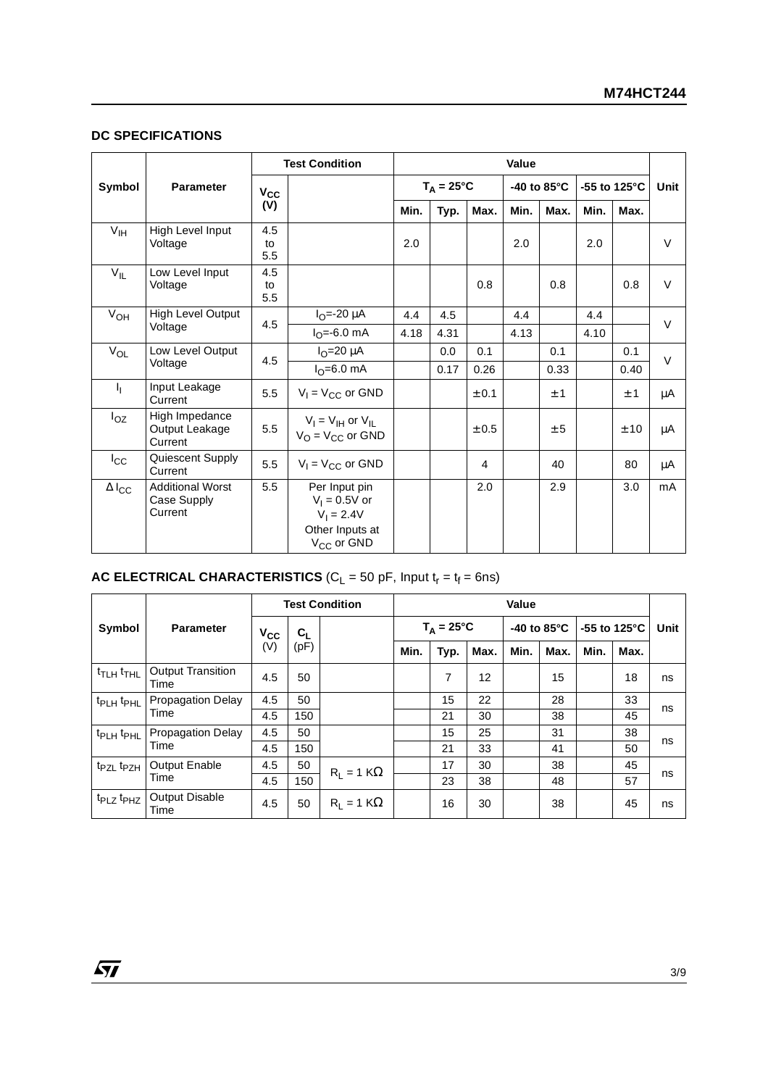#### **DC SPECIFICATIONS**

|                          |                                                   |                  | <b>Test Condition</b>                                                                         |                     | Value |       |                       |      |                         |      |        |
|--------------------------|---------------------------------------------------|------------------|-----------------------------------------------------------------------------------------------|---------------------|-------|-------|-----------------------|------|-------------------------|------|--------|
| Symbol                   | <b>Parameter</b>                                  | $V_{CC}$         |                                                                                               | $T_A = 25^{\circ}C$ |       |       | -40 to 85 $\degree$ C |      | -55 to 125 $^{\circ}$ C |      | Unit   |
|                          |                                                   | (V)              |                                                                                               | Min.                | Typ.  | Max.  | Min.                  | Max. | Min.                    | Max. |        |
| V <sub>IH</sub>          | High Level Input<br>Voltage                       | 4.5<br>to<br>5.5 |                                                                                               | 2.0                 |       |       | 2.0                   |      | 2.0                     |      | $\vee$ |
| $V_{IL}$                 | Low Level Input<br>Voltage                        | 4.5<br>to<br>5.5 |                                                                                               |                     |       | 0.8   |                       | 0.8  |                         | 0.8  | $\vee$ |
| $V_{OH}$                 | High Level Output                                 | 4.5              | $I_{O} = -20 \mu A$                                                                           | 4.4                 | 4.5   |       | 4.4                   |      | 4.4                     |      | $\vee$ |
|                          | Voltage                                           |                  | $I_{\Omega} = -6.0$ mA                                                                        | 4.18                | 4.31  |       | 4.13                  |      | 4.10                    |      |        |
| $V_{OL}$                 | Low Level Output                                  | 4.5              | $IO=20 \mu A$                                                                                 |                     | 0.0   | 0.1   |                       | 0.1  |                         | 0.1  | $\vee$ |
|                          | Voltage                                           |                  | $I_{\Omega} = 6.0$ mA                                                                         |                     | 0.17  | 0.26  |                       | 0.33 |                         | 0.40 |        |
| h,                       | Input Leakage<br>Current                          | 5.5              | $V_1 = V_{CC}$ or GND                                                                         |                     |       | ± 0.1 |                       | ±1   |                         | ±1   | μA     |
| $I_{OZ}$                 | High Impedance<br>Output Leakage<br>Current       | 5.5              | $V_I = V_{IH}$ or $V_{IL}$<br>$V_{\Omega}$ = $V_{\text{CC}}$ or GND                           |                     |       | ± 0.5 |                       | ± 5  |                         | ± 10 | μA     |
| $I_{\rm CC}$             | Quiescent Supply<br>Current                       | 5.5              | $V_1 = V_{CC}$ or GND                                                                         |                     |       | 4     |                       | 40   |                         | 80   | μA     |
| $\Delta$ l <sub>CC</sub> | <b>Additional Worst</b><br>Case Supply<br>Current | 5.5              | Per Input pin<br>$V_1 = 0.5V$ or<br>$V_1 = 2.4V$<br>Other Inputs at<br>V <sub>CC</sub> or GND |                     |       | 2.0   |                       | 2.9  |                         | 3.0  | mA     |

#### **AC ELECTRICAL CHARACTERISTICS** ( $C_L$  = 50 pF, Input  $t_r = t_f = 6$ ns)

|                                   |                                  | <b>Test Condition</b> |       | Value             |                     |      |      |                       |      |                        |      |      |
|-----------------------------------|----------------------------------|-----------------------|-------|-------------------|---------------------|------|------|-----------------------|------|------------------------|------|------|
| Symbol                            | <b>Parameter</b>                 | $V_{CC}$              | $C_L$ |                   | $T_A = 25^{\circ}C$ |      |      | -40 to $85^{\circ}$ C |      | -55 to $125^{\circ}$ C |      | Unit |
|                                   |                                  | (V)                   | (pF)  |                   | Min.                | Typ. | Max. | Min.                  | Max. | Min.                   | Max. |      |
| t <sub>TLH</sub> t <sub>THL</sub> | <b>Output Transition</b><br>Time | 4.5                   | 50    |                   |                     | 7    | 12   |                       | 15   |                        | 18   | ns   |
| t <sub>PLH</sub> t <sub>PHL</sub> | <b>Propagation Delay</b>         | 4.5                   | 50    |                   |                     | 15   | 22   |                       | 28   |                        | 33   |      |
|                                   | Time                             | 4.5                   | 150   |                   |                     | 21   | 30   |                       | 38   |                        | 45   | ns   |
| t <sub>PLH</sub> t <sub>PHL</sub> | <b>Propagation Delay</b>         | 4.5                   | 50    |                   |                     | 15   | 25   |                       | 31   |                        | 38   |      |
|                                   | Time                             | 4.5                   | 150   |                   |                     | 21   | 33   |                       | 41   |                        | 50   | ns   |
| t <sub>PZL</sub> t <sub>PZH</sub> | <b>Output Enable</b>             | 4.5                   | 50    | $R_1 = 1 K\Omega$ |                     | 17   | 30   |                       | 38   |                        | 45   |      |
|                                   | Time                             | 4.5                   | 150   |                   |                     | 23   | 38   |                       | 48   |                        | 57   | ns   |
| t <sub>PLZ</sub> t <sub>PHZ</sub> | <b>Output Disable</b><br>Time    | 4.5                   | 50    | $R_1 = 1 K\Omega$ |                     | 16   | 30   |                       | 38   |                        | 45   | ns   |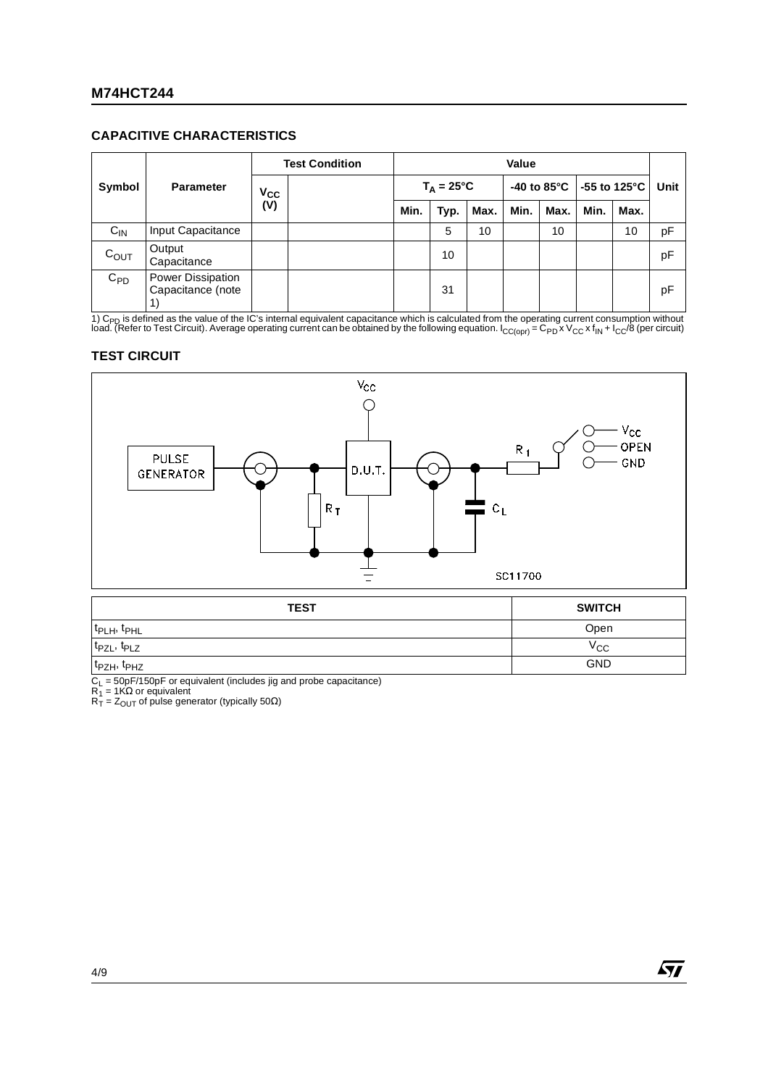#### **CAPACITIVE CHARACTERISTICS**

| Symbol<br><b>Parameter</b> |                                        | <b>Test Condition</b> |      | Value               |      |      |                        |      |              |    |      |
|----------------------------|----------------------------------------|-----------------------|------|---------------------|------|------|------------------------|------|--------------|----|------|
|                            |                                        | $V_{CC}$              |      | $T_A = 25^{\circ}C$ |      |      | -40 to 85 $^{\circ}$ C |      | -55 to 125°C |    | Unit |
|                            | (V)                                    | Min.                  | Typ. | Max.                | Min. | Max. | Min.                   | Max. |              |    |      |
| $C_{IN}$                   | Input Capacitance                      |                       |      |                     | 5    | 10   |                        | 10   |              | 10 | pF   |
| $C_{OUT}$                  | Output<br>Capacitance                  |                       |      |                     | 10   |      |                        |      |              |    | pF   |
| $C_{PD}$                   | Power Dissipation<br>Capacitance (note |                       |      |                     | 31   |      |                        |      |              |    | рF   |

1) C<sub>PD</sub> is defined as the value of the IC's internal equivalent capacitance which is calculated from the operating current consumption without<br>load. (Refer to Test Circuit). Average operating current can be obtained by th

#### **TEST CIRCUIT**



| <b>TEST</b>                         | <b>SWITCH</b> |
|-------------------------------------|---------------|
| t <sub>PLH</sub> , t <sub>PHL</sub> | Open          |
| t <sub>PZL</sub> , t <sub>PLZ</sub> | $V_{\rm CC}$  |
| t <sub>PZH</sub> , t <sub>PHZ</sub> | <b>GND</b>    |

C<sub>L</sub> = 50pF/150pF or equivalent (includes jig and probe capacitance)<br>R<sub>1</sub> = 1KΩ or equivalent<br>R<sub>T</sub> = Z<sub>OUT</sub> of pulse generator (typically 50Ω)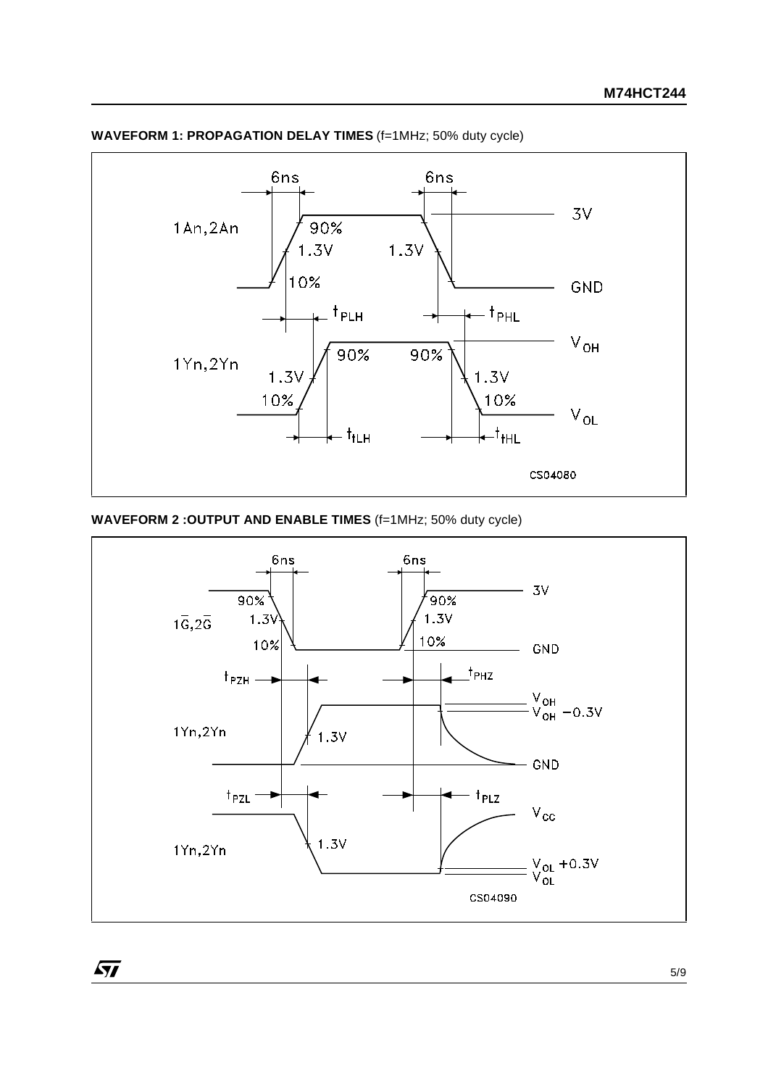

### **WAVEFORM 1: PROPAGATION DELAY TIMES** (f=1MHz; 50% duty cycle)

#### **WAVEFORM 2 :OUTPUT AND ENABLE TIMES** (f=1MHz; 50% duty cycle)

 $\sqrt{27}$ 



5/9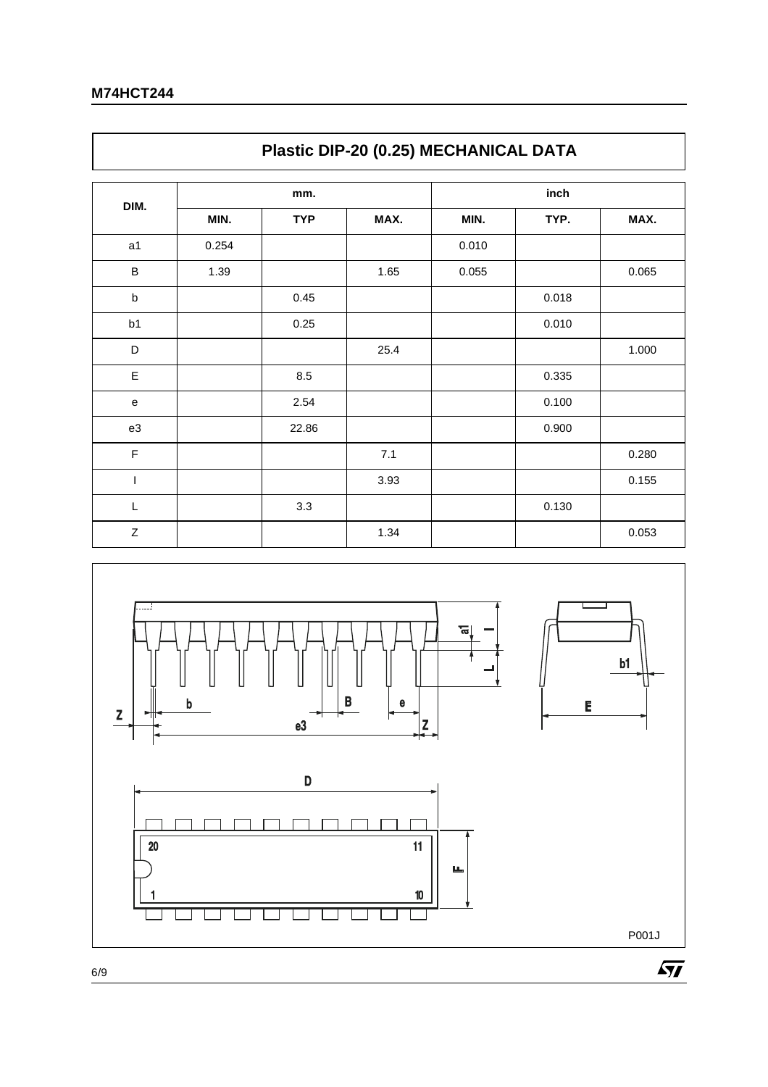$\Gamma$ 

|             | Plastic DIP-20 (0.25) MECHANICAL DATA |            |      |       |       |       |  |  |  |  |
|-------------|---------------------------------------|------------|------|-------|-------|-------|--|--|--|--|
|             |                                       | mm.        |      | inch  |       |       |  |  |  |  |
| DIM.        | MIN.                                  | <b>TYP</b> | MAX. | MIN.  | TYP.  | MAX.  |  |  |  |  |
| a1          | 0.254                                 |            |      | 0.010 |       |       |  |  |  |  |
| B           | 1.39                                  |            | 1.65 | 0.055 |       | 0.065 |  |  |  |  |
| $\sf b$     |                                       | 0.45       |      |       | 0.018 |       |  |  |  |  |
| b1          |                                       | 0.25       |      |       | 0.010 |       |  |  |  |  |
| D           |                                       |            | 25.4 |       |       | 1.000 |  |  |  |  |
| E           |                                       | 8.5        |      |       | 0.335 |       |  |  |  |  |
| ${\bf e}$   |                                       | 2.54       |      |       | 0.100 |       |  |  |  |  |
| e3          |                                       | 22.86      |      |       | 0.900 |       |  |  |  |  |
| $\mathsf F$ |                                       |            | 7.1  |       |       | 0.280 |  |  |  |  |
| T           |                                       |            | 3.93 |       |       | 0.155 |  |  |  |  |
| $\mathsf L$ |                                       | 3.3        |      |       | 0.130 |       |  |  |  |  |
| $\mathsf Z$ |                                       |            | 1.34 |       |       | 0.053 |  |  |  |  |

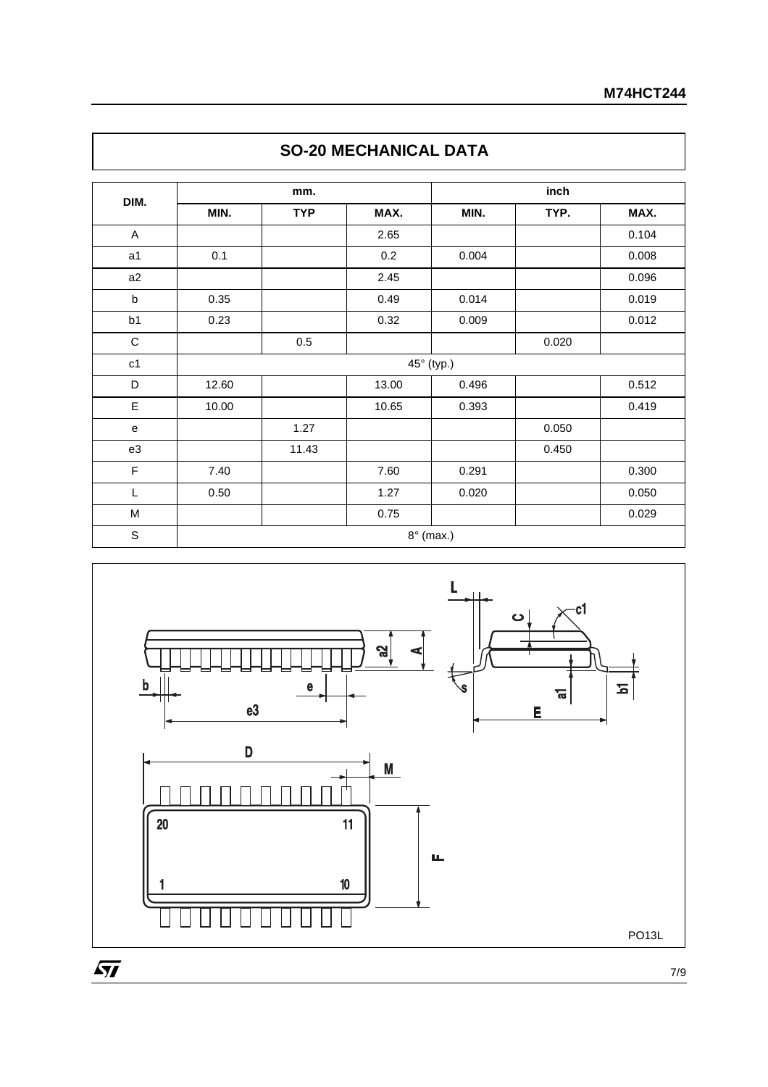|                |       | mm.        |       |            | inch  |       |
|----------------|-------|------------|-------|------------|-------|-------|
| DIM.           | MIN.  | <b>TYP</b> | MAX.  | MIN.       | TYP.  | MAX.  |
| $\mathsf A$    |       |            | 2.65  |            |       | 0.104 |
| a <sub>1</sub> | 0.1   |            | 0.2   | 0.004      |       | 0.008 |
| a2             |       |            | 2.45  |            |       | 0.096 |
| $\sf b$        | 0.35  |            | 0.49  | 0.014      |       | 0.019 |
| b <sub>1</sub> | 0.23  |            | 0.32  | 0.009      |       | 0.012 |
| $\mathbf C$    |       | 0.5        |       |            | 0.020 |       |
| c1             |       |            |       | 45° (typ.) |       |       |
| D              | 12.60 |            | 13.00 | 0.496      |       | 0.512 |
| E              | 10.00 |            | 10.65 | 0.393      |       | 0.419 |
| e              |       | 1.27       |       |            | 0.050 |       |
| e3             |       | 11.43      |       |            | 0.450 |       |
| F              | 7.40  |            | 7.60  | 0.291      |       | 0.300 |
| L              | 0.50  |            | 1.27  | 0.020      |       | 0.050 |
| M              |       |            | 0.75  |            |       | 0.029 |





7/9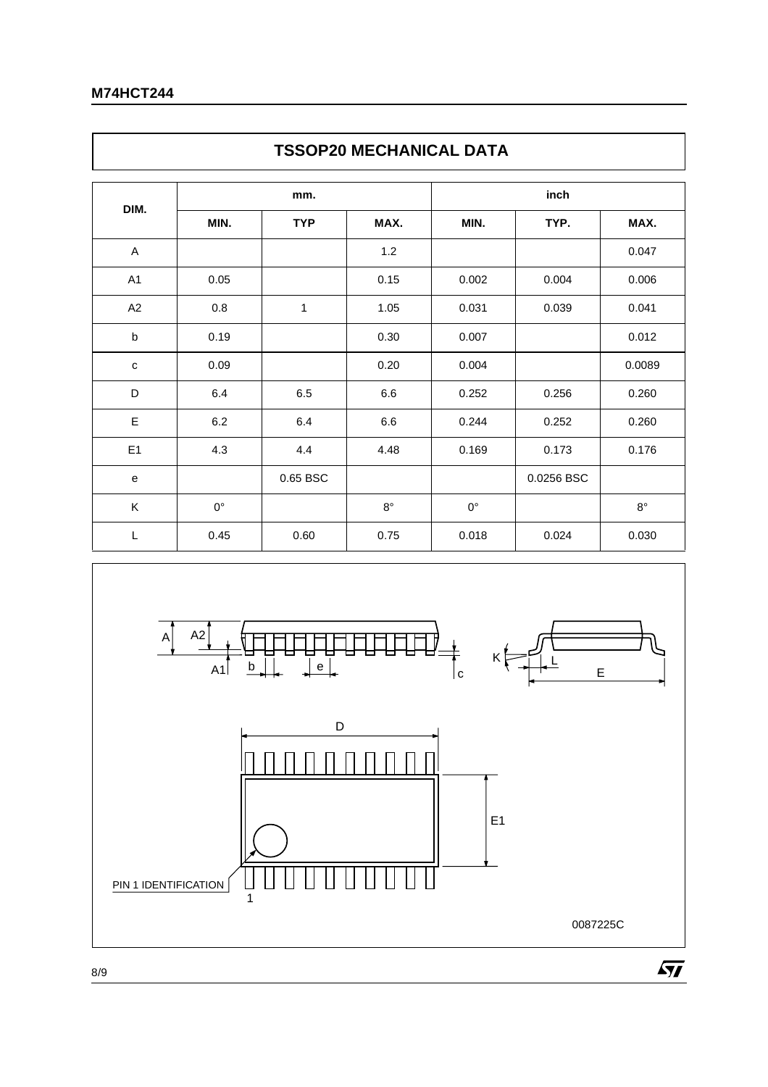$\mathsf{r}$ 

|                | <b>TSSOP20 MECHANICAL DATA</b> |            |             |             |            |             |  |  |  |  |
|----------------|--------------------------------|------------|-------------|-------------|------------|-------------|--|--|--|--|
|                |                                | mm.        |             | inch        |            |             |  |  |  |  |
| DIM.           | MIN.                           | <b>TYP</b> | MAX.        | MIN.        | TYP.       | MAX.        |  |  |  |  |
| A              |                                |            | 1.2         |             |            | 0.047       |  |  |  |  |
| A <sub>1</sub> | 0.05                           |            | 0.15        | 0.002       | 0.004      | 0.006       |  |  |  |  |
| A2             | $0.8\,$                        | 1          | 1.05        | 0.031       | 0.039      | 0.041       |  |  |  |  |
| b              | 0.19                           |            | 0.30        | 0.007       |            | 0.012       |  |  |  |  |
| $\mathbf C$    | 0.09                           |            | 0.20        | 0.004       |            | 0.0089      |  |  |  |  |
| D              | 6.4                            | 6.5        | 6.6         | 0.252       | 0.256      | 0.260       |  |  |  |  |
| E              | 6.2                            | 6.4        | 6.6         | 0.244       | 0.252      | 0.260       |  |  |  |  |
| E1             | 4.3                            | 4.4        | 4.48        | 0.169       | 0.173      | 0.176       |  |  |  |  |
| e              |                                | 0.65 BSC   |             |             | 0.0256 BSC |             |  |  |  |  |
| K              | $0^{\circ}$                    |            | $8^{\circ}$ | $0^{\circ}$ |            | $8^{\circ}$ |  |  |  |  |
| $\mathsf L$    | 0.45                           | 0.60       | 0.75        | 0.018       | 0.024      | 0.030       |  |  |  |  |



٦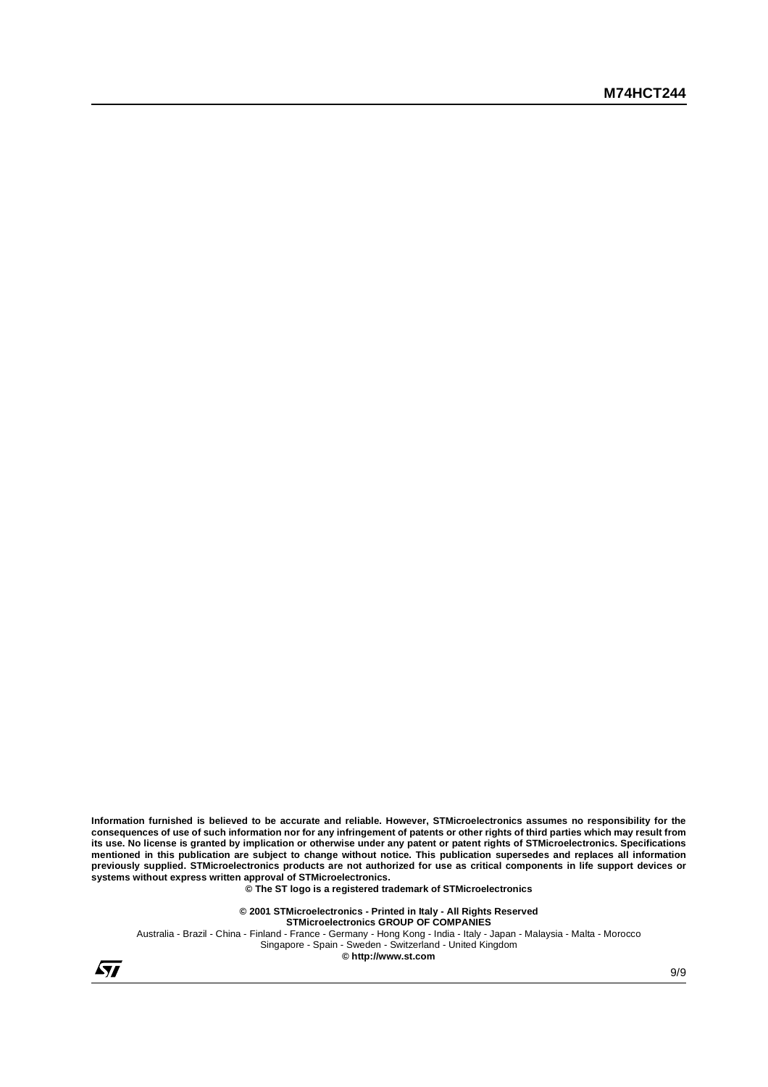**Information furnished is believed to be accurate and reliable. However, STMicroelectronics assumes no responsibility for the consequences of use of such information nor for any infringement of patents or other rights of third parties which may result from its use. No license is granted by implication or otherwise under any patent or patent rights of STMicroelectronics. Specifications mentioned in this publication are subject to change without notice. This publication supersedes and replaces all information previously supplied. STMicroelectronics products are not authorized for use as critical components in life support devices or systems without express written approval of STMicroelectronics.**

**© The ST logo is a registered trademark of STMicroelectronics**

**© 2001 STMicroelectronics - Printed in Italy - All Rights Reserved STMicroelectronics GROUP OF COMPANIES** Australia - Brazil - China - Finland - France - Germany - Hong Kong - India - Italy - Japan - Malaysia - Malta - Morocco Singapore - Spain - Sweden - Switzerland - United Kingdom **© http://www.st.com**